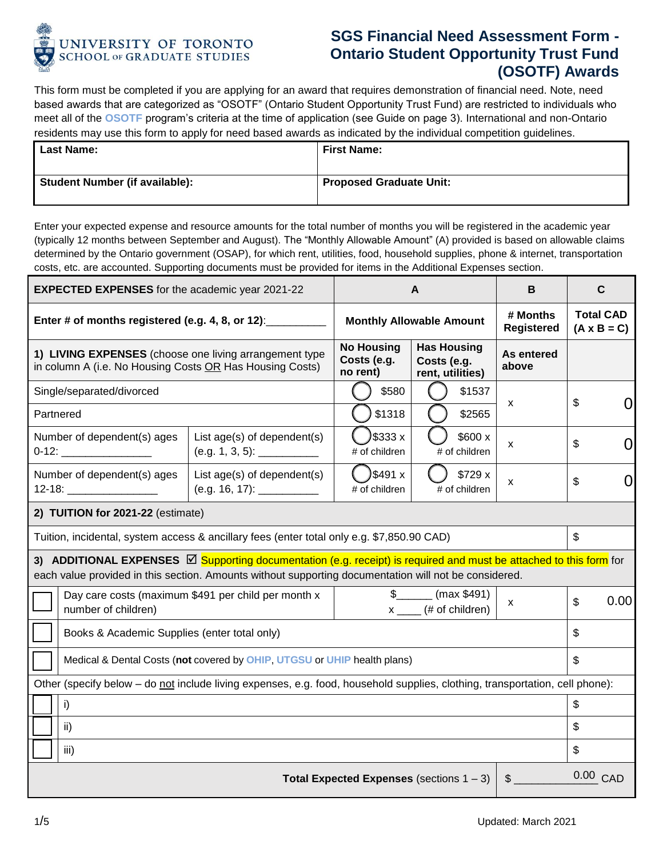

## **SGS Financial Need Assessment Form - Ontario Student Opportunity Trust Fund (OSOTF) Awards**

This form must be completed if you are applying for an award that requires demonstration of financial need. Note, need based awards that are categorized as "OSOTF" (Ontario Student Opportunity Trust Fund) are restricted to individuals who meet all of the **[OSOTF](https://www.sgs.utoronto.ca/awards/osotf-awards/)** program's criteria at the time of application (see Guide on page 3). International and non-Ontario residents may use this form to apply for need based awards as indicated by the individual competition guidelines.

| <b>Last Name:</b>                     | <b>First Name:</b>             |
|---------------------------------------|--------------------------------|
| <b>Student Number (if available):</b> | <b>Proposed Graduate Unit:</b> |

Enter your expected expense and resource amounts for the total number of months you will be registered in the academic year (typically 12 months between September and August). The "Monthly Allowable Amount" (A) provided is based on allowable claims determined by the Ontario government (OSAP), for which rent, utilities, food, household supplies, phone & internet, transportation costs, etc. are accounted. Supporting documents must be provided for items in the Additional Expenses section.

| <b>EXPECTED EXPENSES</b> for the academic year 2021-22                                                                                                                                                                             |                                                     | A                                            |                                                          | B                             | C                                      |
|------------------------------------------------------------------------------------------------------------------------------------------------------------------------------------------------------------------------------------|-----------------------------------------------------|----------------------------------------------|----------------------------------------------------------|-------------------------------|----------------------------------------|
| Enter # of months registered (e.g. 4, 8, or 12): _________                                                                                                                                                                         |                                                     | <b>Monthly Allowable Amount</b>              |                                                          | # Months<br><b>Registered</b> | <b>Total CAD</b><br>$(A \times B = C)$ |
| 1) LIVING EXPENSES (choose one living arrangement type<br>in column A (i.e. No Housing Costs OR Has Housing Costs)                                                                                                                 |                                                     | <b>No Housing</b><br>Costs (e.g.<br>no rent) | <b>Has Housing</b><br>Costs (e.g.<br>rent, utilities)    | As entered<br>above           |                                        |
| Single/separated/divorced                                                                                                                                                                                                          |                                                     | \$580                                        | \$1537                                                   | X                             | \$                                     |
| Partnered                                                                                                                                                                                                                          |                                                     | \$1318                                       | \$2565                                                   |                               | 0                                      |
| Number of dependent(s) ages                                                                                                                                                                                                        | List age(s) of dependent(s)                         | )\$333 x<br># of children                    | \$600 x<br># of children                                 | X                             | \$<br>0                                |
| Number of dependent(s) ages                                                                                                                                                                                                        | List age(s) of dependent(s)                         | )\$491 x<br># of children                    | \$729 x<br># of children                                 | X                             | $\Omega$<br>\$                         |
| 2) TUITION for 2021-22 (estimate)                                                                                                                                                                                                  |                                                     |                                              |                                                          |                               |                                        |
| Tuition, incidental, system access & ancillary fees (enter total only e.g. \$7,850.90 CAD)                                                                                                                                         |                                                     |                                              | \$                                                       |                               |                                        |
| 3) ADDITIONAL EXPENSES <b>D</b> Supporting documentation (e.g. receipt) is required and must be attached to this form for<br>each value provided in this section. Amounts without supporting documentation will not be considered. |                                                     |                                              |                                                          |                               |                                        |
| number of children)                                                                                                                                                                                                                | Day care costs (maximum \$491 per child per month x |                                              | $\frac{1}{2}$ (max \$491)<br>$x \_\_\_\$ (# of children) | X                             | 0.00<br>$\mathfrak{S}$                 |
| Books & Academic Supplies (enter total only)                                                                                                                                                                                       |                                                     |                                              | \$                                                       |                               |                                        |
| Medical & Dental Costs (not covered by OHIP, UTGSU or UHIP health plans)                                                                                                                                                           |                                                     |                                              | \$                                                       |                               |                                        |
| Other (specify below – do not include living expenses, e.g. food, household supplies, clothing, transportation, cell phone):                                                                                                       |                                                     |                                              |                                                          |                               |                                        |
| i)                                                                                                                                                                                                                                 |                                                     |                                              | $\mathfrak{S}$                                           |                               |                                        |
| ii)                                                                                                                                                                                                                                |                                                     |                                              |                                                          |                               | \$                                     |
| iii)                                                                                                                                                                                                                               |                                                     |                                              |                                                          |                               | \$                                     |
| <b>Total Expected Expenses</b> (sections $1 - 3$ )<br>$\mathsf{\$}$                                                                                                                                                                |                                                     |                                              |                                                          |                               | 0.00 CAD                               |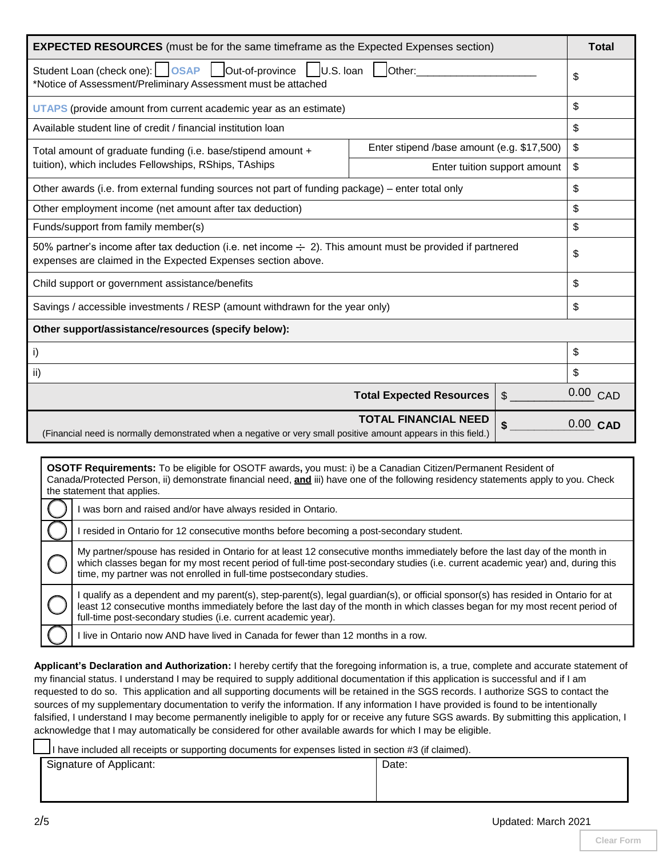| <b>EXPECTED RESOURCES</b> (must be for the same timeframe as the Expected Expenses section)                                                                                    |                                            |            |
|--------------------------------------------------------------------------------------------------------------------------------------------------------------------------------|--------------------------------------------|------------|
| Student Loan (check one):   OSAP   Out-of-province   U.S. Ioan<br>$\vert$ $\vert$ Other:<br>*Notice of Assessment/Preliminary Assessment must be attached                      |                                            |            |
| UTAPS (provide amount from current academic year as an estimate)                                                                                                               |                                            | \$         |
| Available student line of credit / financial institution loan                                                                                                                  |                                            | \$         |
| Total amount of graduate funding (i.e. base/stipend amount +                                                                                                                   | Enter stipend /base amount (e.g. \$17,500) |            |
| tuition), which includes Fellowships, RShips, TAships                                                                                                                          | Enter tuition support amount               |            |
| Other awards (i.e. from external funding sources not part of funding package) – enter total only                                                                               |                                            | \$         |
| Other employment income (net amount after tax deduction)                                                                                                                       |                                            | \$         |
| Funds/support from family member(s)                                                                                                                                            |                                            | \$         |
| 50% partner's income after tax deduction (i.e. net income $\div$ 2). This amount must be provided if partnered<br>expenses are claimed in the Expected Expenses section above. |                                            | \$         |
| Child support or government assistance/benefits                                                                                                                                |                                            | \$         |
| Savings / accessible investments / RESP (amount withdrawn for the year only)                                                                                                   |                                            | \$         |
| Other support/assistance/resources (specify below):                                                                                                                            |                                            |            |
| i)                                                                                                                                                                             |                                            | \$         |
| ii)                                                                                                                                                                            |                                            | \$         |
|                                                                                                                                                                                | <b>Total Expected Resources</b><br>\$      | 0.00 CAD   |
| (Financial need is normally demonstrated when a negative or very small positive amount appears in this field.)                                                                 | <b>TOTAL FINANCIAL NEED</b>                | $0.00$ CAD |
|                                                                                                                                                                                |                                            |            |

| <b>OSOTF Requirements:</b> To be eligible for OSOTF awards, you must: i) be a Canadian Citizen/Permanent Resident of<br>Canada/Protected Person, ii) demonstrate financial need, and iii) have one of the following residency statements apply to you. Check<br>the statement that applies.                                             |
|-----------------------------------------------------------------------------------------------------------------------------------------------------------------------------------------------------------------------------------------------------------------------------------------------------------------------------------------|
| was born and raised and/or have always resided in Ontario.                                                                                                                                                                                                                                                                              |
| resided in Ontario for 12 consecutive months before becoming a post-secondary student.                                                                                                                                                                                                                                                  |
| My partner/spouse has resided in Ontario for at least 12 consecutive months immediately before the last day of the month in<br>which classes began for my most recent period of full-time post-secondary studies (i.e. current academic year) and, during this<br>time, my partner was not enrolled in full-time postsecondary studies. |
| qualify as a dependent and my parent(s), step-parent(s), legal guardian(s), or official sponsor(s) has resided in Ontario for at<br>least 12 consecutive months immediately before the last day of the month in which classes began for my most recent period of<br>full-time post-secondary studies (i.e. current academic year).      |
| live in Ontario now AND have lived in Canada for fewer than 12 months in a row.                                                                                                                                                                                                                                                         |

**Applicant's Declaration and Authorization:** I hereby certify that the foregoing information is, a true, complete and accurate statement of my financial status. I understand I may be required to supply additional documentation if this application is successful and if I am requested to do so. This application and all supporting documents will be retained in the SGS records. I authorize SGS to contact the sources of my supplementary documentation to verify the information. If any information I have provided is found to be intentionally falsified, I understand I may become permanently ineligible to apply for or receive any future SGS awards. By submitting this application, I acknowledge that I may automatically be considered for other available awards for which I may be eligible.

I have included all receipts or supporting documents for expenses listed in section #3 (if claimed).

Signature of Applicant: <br> Pate: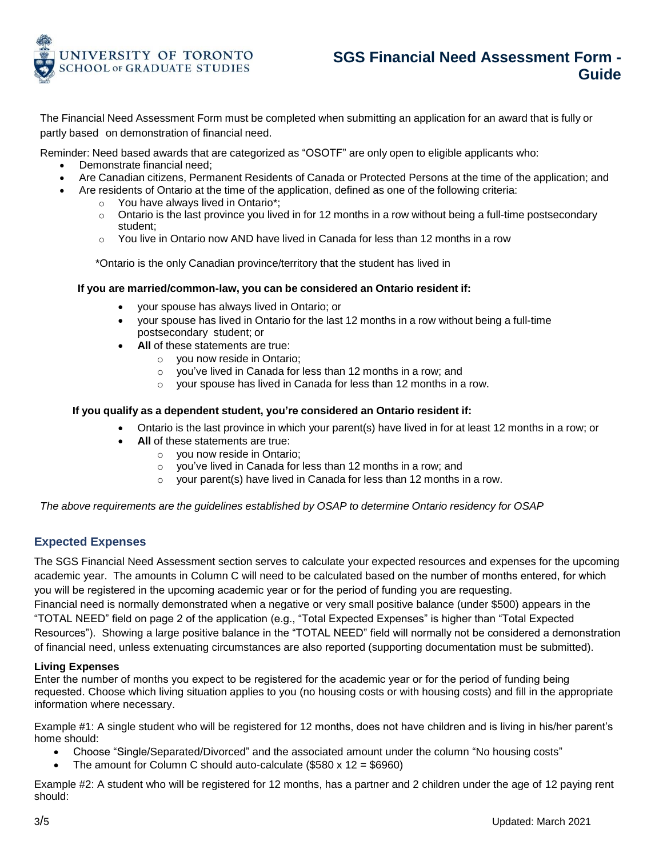

# **SGS Financial Need Assessment Form - Guide**

The Financial Need Assessment Form must be completed when submitting an application for an award that is fully or partly based on demonstration of financial need.

Reminder: Need based awards that are categorized as "OSOTF" are only open to eligible applicants who:

- Demonstrate financial need;
- Are Canadian citizens, Permanent Residents of Canada or Protected Persons at the time of the application; and
	- Are residents of Ontario at the time of the application, defined as one of the following criteria:
		- o You have always lived in Ontario\*;
		- $\circ$  Ontario is the last province you lived in for 12 months in a row without being a full-time postsecondary student;
		- $\circ$  You live in Ontario now AND have lived in Canada for less than 12 months in a row

\*Ontario is the only Canadian province/territory that the student has lived in

## **If you are married/common-law, you can be considered an Ontario resident if:**

- your spouse has always lived in Ontario; or
- your spouse has lived in Ontario for the last 12 months in a row without being a full-time postsecondary student; or
- **All** of these statements are true:
	- o you now reside in Ontario;
	- o you've lived in Canada for less than 12 months in a row; and
	- o your spouse has lived in Canada for less than 12 months in a row.

## **If you qualify as a dependent student, you're considered an Ontario resident if:**

- Ontario is the last province in which your parent(s) have lived in for at least 12 months in a row; or
- **All** of these statements are true:
	- o you now reside in Ontario;
	- o you've lived in Canada for less than 12 months in a row; and
	- $\circ$  your parent(s) have lived in Canada for less than 12 months in a row.

*The above requirements are the guidelines established by OSAP to determine Ontario residency for OSAP*

## **Expected Expenses**

The SGS Financial Need Assessment section serves to calculate your expected resources and expenses for the upcoming academic year. The amounts in Column C will need to be calculated based on the number of months entered, for which you will be registered in the upcoming academic year or for the period of funding you are requesting.

Financial need is normally demonstrated when a negative or very small positive balance (under \$500) appears in the "TOTAL NEED" field on page 2 of the application (e.g., "Total Expected Expenses" is higher than "Total Expected Resources"). Showing a large positive balance in the "TOTAL NEED" field will normally not be considered a demonstration of financial need, unless extenuating circumstances are also reported (supporting documentation must be submitted).

## **Living Expenses**

Enter the number of months you expect to be registered for the academic year or for the period of funding being requested. Choose which living situation applies to you (no housing costs or with housing costs) and fill in the appropriate information where necessary.

Example #1: A single student who will be registered for 12 months, does not have children and is living in his/her parent's home should:

- Choose "Single/Separated/Divorced" and the associated amount under the column "No housing costs"
- The amount for Column C should auto-calculate (\$580 x 12 = \$6960)

Example #2: A student who will be registered for 12 months, has a partner and 2 children under the age of 12 paying rent should: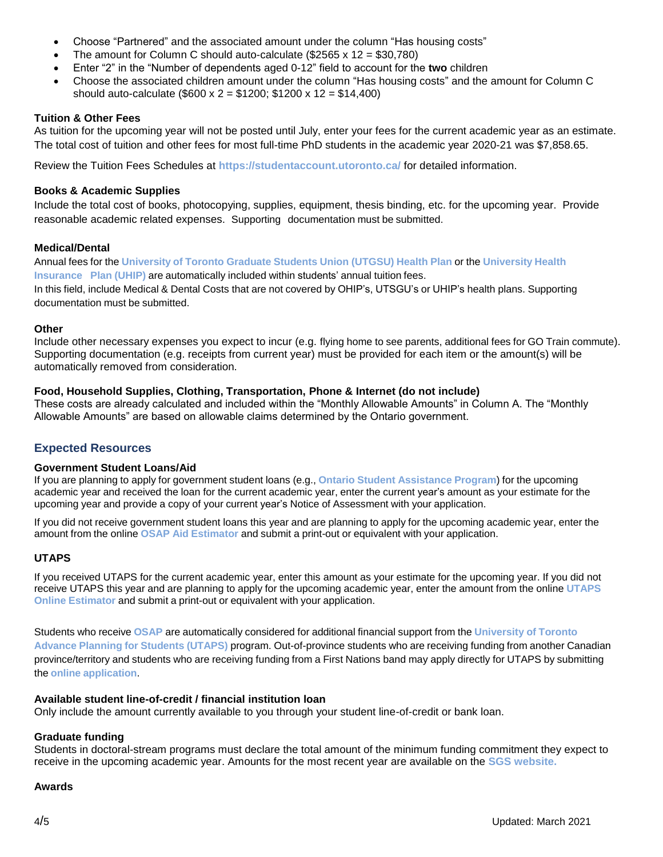- Choose "Partnered" and the associated amount under the column "Has housing costs"
- The amount for Column C should auto-calculate (\$2565 x 12 = \$30,780)
- Enter "2" in the "Number of dependents aged 0-12" field to account for the **two** children
- Choose the associated children amount under the column "Has housing costs" and the amount for Column C should auto-calculate (\$600 x 2 = \$1200; \$1200 x 12 = \$14,400)

## **Tuition & Other Fees**

As tuition for the upcoming year will not be posted until July, enter your fees for the current academic year as an estimate. The total cost of tuition and other fees for most full-time PhD students in the academic year 2020-21 was \$7,858.65.

Review the Tuition Fees Schedules at **<https://studentaccount.utoronto.ca/>** for detailed information.

## **Books & Academic Supplies**

Include the total cost of books, photocopying, supplies, equipment, thesis binding, etc. for the upcoming year. Provide reasonable academic related expenses. Supporting documentation must be submitted.

## **Medical/Dental**

Annual fees for the **[University](https://www.utgsu.ca/insurance/) of Toronto Graduate Students Union (UTGSU) Health Plan** or the **[University](http://www.cie.utoronto.ca/Coming/UHIP.htm) Health [Insurance](http://www.cie.utoronto.ca/Coming/UHIP.htm) Plan [\(UHIP\)](http://www.cie.utoronto.ca/Coming/UHIP.htm)** are automatically included within students' annual tuition fees. In this field, include Medical & Dental Costs that are not covered by OHIP's, UTSGU's or UHIP's health plans. Supporting documentation must be submitted.

## **Other**

Include other necessary expenses you expect to incur (e.g. flying home to see parents, additional fees for GO Train commute). Supporting documentation (e.g. receipts from current year) must be provided for each item or the amount(s) will be automatically removed from consideration.

## **Food, Household Supplies, Clothing, Transportation, Phone & Internet (do not include)**

These costs are already calculated and included within the "Monthly Allowable Amounts" in Column A. The "Monthly Allowable Amounts" are based on allowable claims determined by the Ontario government.

## **Expected Resources**

## **Government Student Loans/Aid**

If you are planning to apply for government student loans (e.g., **Ontario Student [Assistance](https://osap.gov.on.ca/OSAPPortal/en/) Program**) for the upcoming academic year and received the loan for the current academic year, enter the current year's amount as your estimate for the upcoming year and provide a copy of your current year's Notice of Assessment with your application.

If you did not receive government student loans this year and are planning to apply for the upcoming academic year, enter the amount from the online **OSAP Aid [Estimator](https://osap.gov.on.ca/AidEstimatorWeb/enterapp/enter.xhtml?lang=en)** and submit a print-out or equivalent with your application.

## **UTAPS**

If you received UTAPS for the current academic year, enter this amount as your estimate for the upcoming year. If you did not receive UTAPS this year and are planning to apply for the upcoming academic year, enter the amount from the online **[UTAPS](http://www.future.utoronto.ca/finances/financial-aid/university-toronto-advance-planning-students-utaps#UTAPS%20estimator) Online [Estimator](http://www.future.utoronto.ca/finances/financial-aid/university-toronto-advance-planning-students-utaps#UTAPS%20estimator)** and submit a print-out or equivalent with your application.

Students who receive **[OSAP](https://osap.gov.on.ca/OSAPPortal/en/)** are automatically considered for additional financial support from the **[University](http://www.future.utoronto.ca/finances/financial-aid/university-toronto-advance-planning-students-utaps) of Toronto Advance Planning for [Students](http://www.future.utoronto.ca/finances/financial-aid/university-toronto-advance-planning-students-utaps) (UTAPS)** program. Out-of-province students who are receiving funding from another Canadian province/territory and students who are receiving funding from a First Nations band may apply directly for UTAPS by submitting the **online [application](http://www.future.utoronto.ca/finances/financial-aid/university-toronto-advance-planning-students-utaps)**.

## **Available student line-of-credit / financial institution loan**

Only include the amount currently available to you through your student line-of-credit or bank loan.

## **Graduate funding**

Students in doctoral-stream programs must declare the total amount of the minimum funding commitment they expect to receive in the upcoming academic year. Amounts for the most recent year are available on the **[SGS website.](https://www.sgs.utoronto.ca/about/explore-our-data/phd-funding-data/)**

## **Awards**